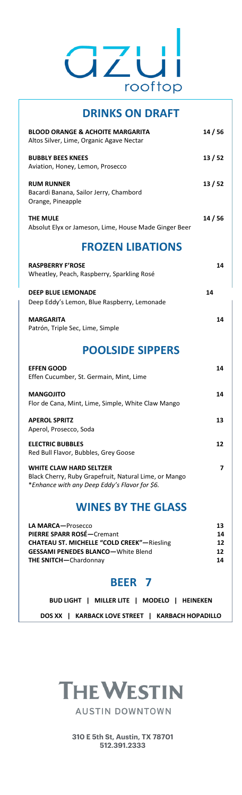

| <b>DRINKS ON DRAFT</b>                                                                  |         |
|-----------------------------------------------------------------------------------------|---------|
| <b>BLOOD ORANGE &amp; ACHOITE MARGARITA</b><br>Altos Silver, Lime, Organic Agave Nectar | 14 / 56 |
| <b>BUBBLY BEES KNEES</b><br>Aviation, Honey, Lemon, Prosecco                            | 13 / 52 |
| <b>RUM RUNNER</b><br>Bacardi Banana, Sailor Jerry, Chambord<br>Orange, Pineapple        | 13/52   |
| <b>THE MULE</b><br>Absolut Elyx or Jameson, Lime, House Made Ginger Beer                | 14 / 56 |
| <b>FROZEN LIBATIONS</b>                                                                 |         |
|                                                                                         |         |
| <b>RASPBERRY F'ROSE</b><br>Wheatley, Peach, Raspberry, Sparkling Rosé                   | 14      |
| <b>DEEP BLUE LEMONADE</b><br>Deep Eddy's Lemon, Blue Raspberry, Lemonade                | 14      |
| <b>MARGARITA</b><br>Patrón, Triple Sec, Lime, Simple                                    | 14      |
| <b>POOLSIDE SIPPERS</b>                                                                 |         |

| Effen Cucumber, St. Germain, Mint, Lime                                                                                                  |    |
|------------------------------------------------------------------------------------------------------------------------------------------|----|
| <b>MANGOJITO</b><br>Flor de Cana, Mint, Lime, Simple, White Claw Mango                                                                   | 14 |
| <b>APEROL SPRITZ</b><br>Aperol, Prosecco, Soda                                                                                           | 13 |
| <b>ELECTRIC BUBBLES</b><br>Red Bull Flavor, Bubbles, Grey Goose                                                                          | 12 |
| <b>WHITE CLAW HARD SELTZER</b><br>Black Cherry, Ruby Grapefruit, Natural Lime, or Mango<br>*Enhance with any Deep Eddy's Flavor for \$6. |    |

#### **WINES BY THE GLASS**

| LA MARCA-Prosecco                                  | 13 |
|----------------------------------------------------|----|
| PIERRE SPARR ROSÉ-Cremant                          | 14 |
| <b>CHATEAU ST. MICHELLE "COLD CREEK"</b> —Riesling | 12 |
| <b>GESSAMI PENEDES BLANCO-White Blend</b>          | 12 |
| <b>THE SNITCH-Chardonnay</b>                       | 14 |
|                                                    |    |

#### **BEER 7**

|  | BUD LIGHT   MILLER LITE   MODELO   HEINEKEN      |  |  |
|--|--------------------------------------------------|--|--|
|  | DOS XX   KARBACK LOVE STREET   KARBACH HOPADILLO |  |  |



**310 E 5th St, Austin, TX 78701 512.391.2333**